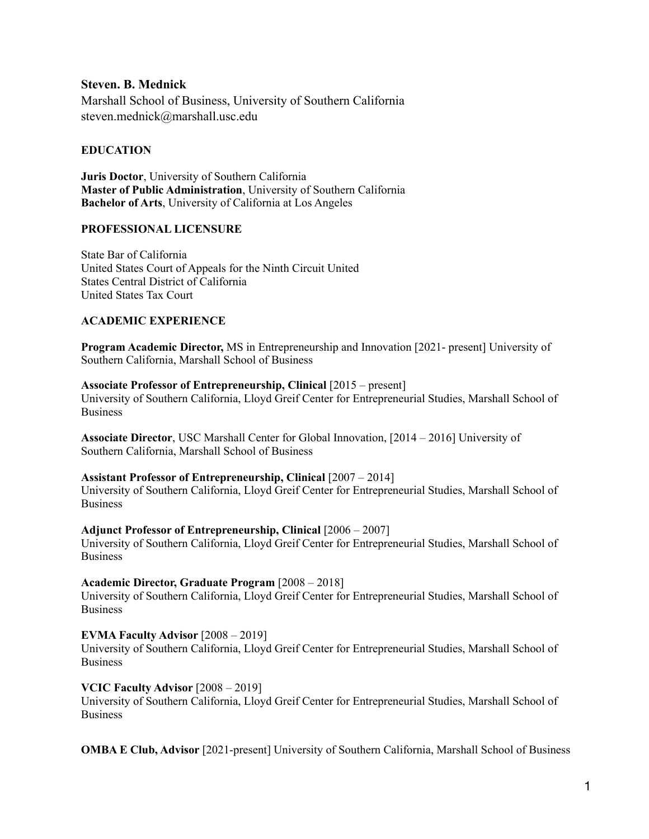**Steven. B. Mednick** Marshall School of Business, University of Southern California [steven.mednick@marshall.usc.edu](mailto:steven.mednick@marshall.usc.edu)

#### **EDUCATION**

**Juris Doctor**, University of Southern California **Master of Public Administration**, University of Southern California **Bachelor of Arts**, University of California at Los Angeles

#### **PROFESSIONAL LICENSURE**

State Bar of California United States Court of Appeals for the Ninth Circuit United States Central District of California United States Tax Court

#### **ACADEMIC EXPERIENCE**

**Program Academic Director, MS** in Entrepreneurship and Innovation [2021- present] University of Southern California, Marshall School of Business

#### **Associate Professor of Entrepreneurship, Clinical** [2015 – present]

University of Southern California, Lloyd Greif Center for Entrepreneurial Studies, Marshall School of Business

**Associate Director**, USC Marshall Center for Global Innovation, [2014 – 2016] University of Southern California, Marshall School of Business

# **Assistant Professor of Entrepreneurship, Clinical** [2007 – 2014]

University of Southern California, Lloyd Greif Center for Entrepreneurial Studies, Marshall School of Business

#### **Adjunct Professor of Entrepreneurship, Clinical** [2006 – 2007]

University of Southern California, Lloyd Greif Center for Entrepreneurial Studies, Marshall School of **Business** 

#### **Academic Director, Graduate Program** [2008 – 2018]

University of Southern California, Lloyd Greif Center for Entrepreneurial Studies, Marshall School of Business

# **EVMA Faculty Advisor** [2008 – 2019]

University of Southern California, Lloyd Greif Center for Entrepreneurial Studies, Marshall School of Business

# **VCIC Faculty Advisor** [2008 – 2019]

University of Southern California, Lloyd Greif Center for Entrepreneurial Studies, Marshall School of **Business** 

**OMBA E Club, Advisor** [2021-present] University of Southern California, Marshall School of Business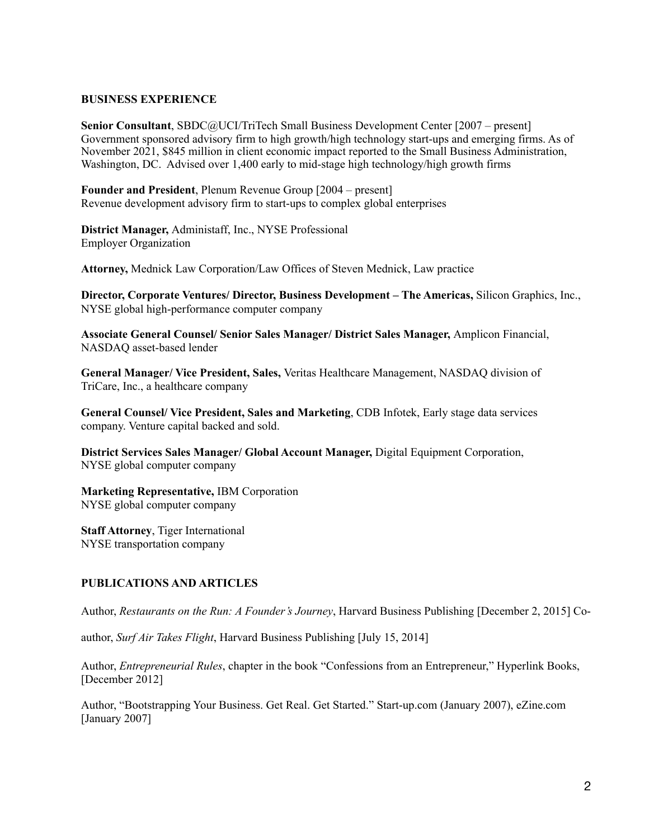#### **BUSINESS EXPERIENCE**

**Senior Consultant**, SBDC@UCI/TriTech Small Business Development Center [2007 – present] Government sponsored advisory firm to high growth/high technology start-ups and emerging firms. As of November 2021, \$845 million in client economic impact reported to the Small Business Administration, Washington, DC. Advised over 1,400 early to mid-stage high technology/high growth firms

**Founder and President**, Plenum Revenue Group [2004 – present] Revenue development advisory firm to start-ups to complex global enterprises

**District Manager,** Administaff, Inc., NYSE Professional Employer Organization

**Attorney,** Mednick Law Corporation/Law Offices of Steven Mednick, Law practice

**Director, Corporate Ventures/ Director, Business Development – The Americas,** Silicon Graphics, Inc., NYSE global high-performance computer company

**Associate General Counsel/ Senior Sales Manager/ District Sales Manager,** Amplicon Financial, NASDAQ asset-based lender

**General Manager/ Vice President, Sales,** Veritas Healthcare Management, NASDAQ division of TriCare, Inc., a healthcare company

**General Counsel/ Vice President, Sales and Marketing**, CDB Infotek, Early stage data services company. Venture capital backed and sold.

**District Services Sales Manager/ Global Account Manager,** Digital Equipment Corporation, NYSE global computer company

**Marketing Representative,** IBM Corporation NYSE global computer company

**Staff Attorney**, Tiger International NYSE transportation company

# **PUBLICATIONS AND ARTICLES**

Author, *Restaurants on the Run: A Founder's Journey*, Harvard Business Publishing [December 2, 2015] Co-

author, *Surf Air Takes Flight*, Harvard Business Publishing [July 15, 2014]

Author, *Entrepreneurial Rules*, chapter in the book "Confessions from an Entrepreneur," Hyperlink Books, [December 2012]

Author, "Bootstrapping Your Business. Get Real. Get Started." Start-up.com (January 2007), eZine.com [January 2007]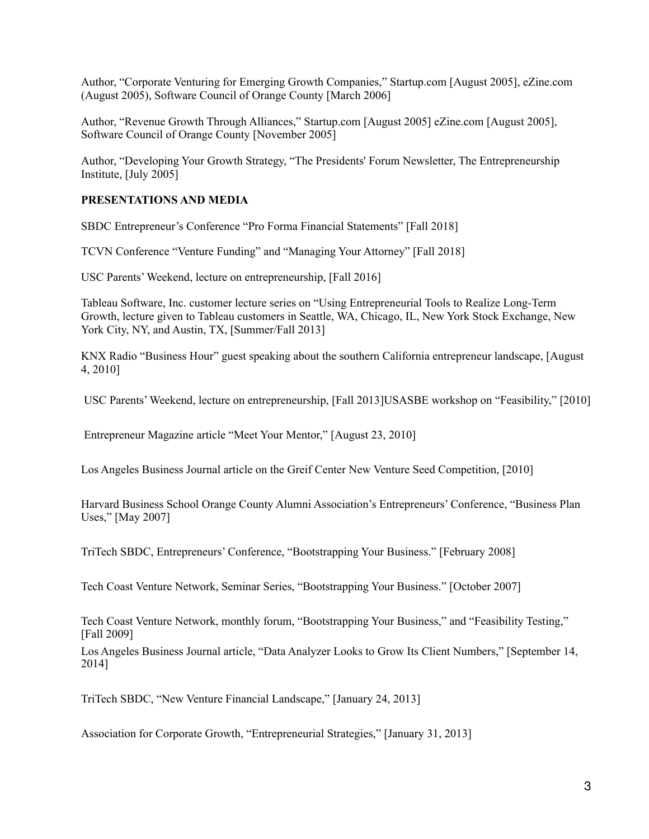Author, "Corporate Venturing for Emerging Growth Companies," Startup.com [August 2005], eZine.com (August 2005), Software Council of Orange County [March 2006]

Author, "Revenue Growth Through Alliances," Startup.com [August 2005] eZine.com [August 2005], Software Council of Orange County [November 2005]

Author, "Developing Your Growth Strategy, "The Presidents' Forum Newsletter, The Entrepreneurship Institute, [July 2005]

# **PRESENTATIONS AND MEDIA**

SBDC Entrepreneur's Conference "Pro Forma Financial Statements" [Fall 2018]

TCVN Conference "Venture Funding" and "Managing Your Attorney" [Fall 2018]

USC Parents' Weekend, lecture on entrepreneurship, [Fall 2016]

Tableau Software, Inc. customer lecture series on "Using Entrepreneurial Tools to Realize Long-Term Growth, lecture given to Tableau customers in Seattle, WA, Chicago, IL, New York Stock Exchange, New York City, NY, and Austin, TX, [Summer/Fall 2013]

KNX Radio "Business Hour" guest speaking about the southern California entrepreneur landscape, [August 4, 2010]

USC Parents' Weekend, lecture on entrepreneurship, [Fall 2013]USASBE workshop on "Feasibility," [2010]

Entrepreneur Magazine article "Meet Your Mentor," [August 23, 2010]

Los Angeles Business Journal article on the Greif Center New Venture Seed Competition, [2010]

Harvard Business School Orange County Alumni Association's Entrepreneurs' Conference, "Business Plan Uses," [May 2007]

TriTech SBDC, Entrepreneurs' Conference, "Bootstrapping Your Business." [February 2008]

Tech Coast Venture Network, Seminar Series, "Bootstrapping Your Business." [October 2007]

Tech Coast Venture Network, monthly forum, "Bootstrapping Your Business," and "Feasibility Testing," [Fall 2009]

Los Angeles Business Journal article, "Data Analyzer Looks to Grow Its Client Numbers," [September 14, 2014]

TriTech SBDC, "New Venture Financial Landscape," [January 24, 2013]

Association for Corporate Growth, "Entrepreneurial Strategies," [January 31, 2013]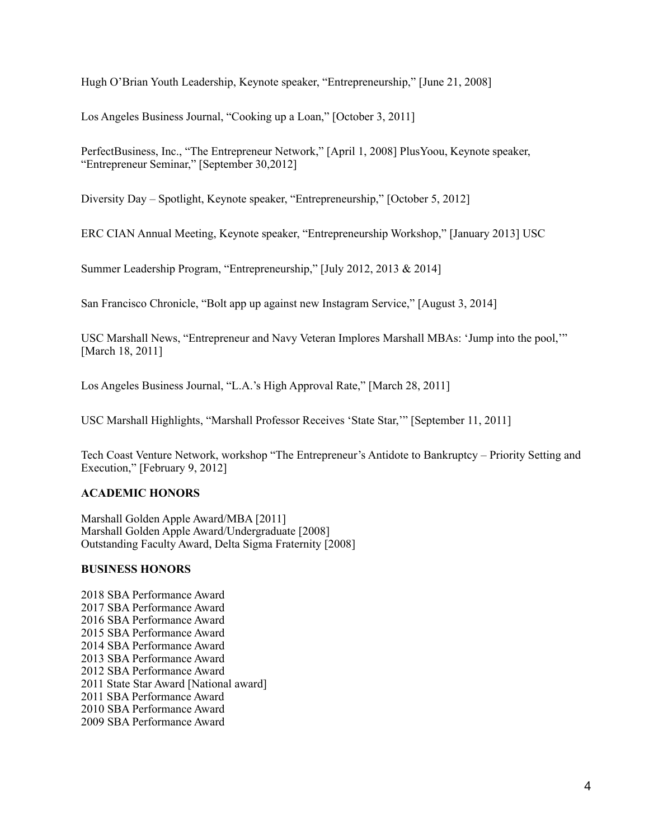Hugh O'Brian Youth Leadership, Keynote speaker, "Entrepreneurship," [June 21, 2008]

Los Angeles Business Journal, "Cooking up a Loan," [October 3, 2011]

PerfectBusiness, Inc., "The Entrepreneur Network," [April 1, 2008] PlusYoou, Keynote speaker, "Entrepreneur Seminar," [September 30,2012]

Diversity Day – Spotlight, Keynote speaker, "Entrepreneurship," [October 5, 2012]

ERC CIAN Annual Meeting, Keynote speaker, "Entrepreneurship Workshop," [January 2013] USC

Summer Leadership Program, "Entrepreneurship," [July 2012, 2013 & 2014]

San Francisco Chronicle, "Bolt app up against new Instagram Service," [August 3, 2014]

USC Marshall News, "Entrepreneur and Navy Veteran Implores Marshall MBAs: 'Jump into the pool,'" [March 18, 2011]

Los Angeles Business Journal, "L.A.'s High Approval Rate," [March 28, 2011]

USC Marshall Highlights, "Marshall Professor Receives 'State Star,'" [September 11, 2011]

Tech Coast Venture Network, workshop "The Entrepreneur's Antidote to Bankruptcy – Priority Setting and Execution," [February 9, 2012]

# **ACADEMIC HONORS**

Marshall Golden Apple Award/MBA [2011] Marshall Golden Apple Award/Undergraduate [2008] Outstanding Faculty Award, Delta Sigma Fraternity [2008]

# **BUSINESS HONORS**

2018 SBA Performance Award 2017 SBA Performance Award 2016 SBA Performance Award 2015 SBA Performance Award 2014 SBA Performance Award 2013 SBA Performance Award 2012 SBA Performance Award 2011 State Star Award [National award] 2011 SBA Performance Award 2010 SBA Performance Award 2009 SBA Performance Award